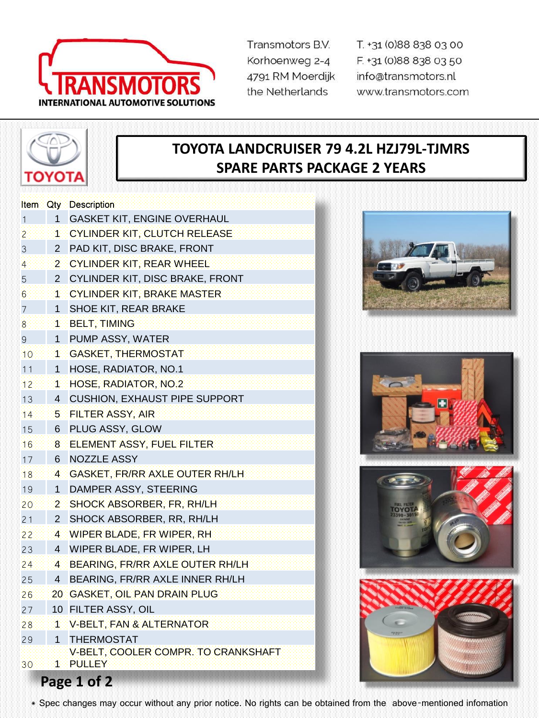

Transmotors B.V. Korhoenweg 2-4 4791 RM Moerdijk the Netherlands

T. +31 (0)88 838 03 00 F. +31 (0)88 838 03 50 info@transmotors.nl www.transmotors.com



## **TOYOTA LANDCRUISER 79 4.2L HZJ79L-TJMRS SPARE PARTS PACKAGE 2 YEARS**

| Item.           | Qty            | <b>Description</b>                                   |  |  |
|-----------------|----------------|------------------------------------------------------|--|--|
| 1               | 1              | <b>GASKET KIT, ENGINE OVERHAUL</b>                   |  |  |
| 2               | 4              | <b>CYLINDER KIT, CLUTCH RELEASE</b>                  |  |  |
| 3               | 2              | PAD KIT, DISC BRAKE, FRONT                           |  |  |
| $\overline{4}$  | 2              | <b>CYLINDER KIT, REAR WHEEL</b>                      |  |  |
| 5               | 2              | CYLINDER KIT, DISC BRAKE, FRONT                      |  |  |
| 6               | 4              | <b>CYLINDER KIT, BRAKE MASTER</b>                    |  |  |
| 7               | 1              | SHOE KIT, REAR BRAKE                                 |  |  |
| 8               | 1              | <b>BELT, TIMING</b>                                  |  |  |
| 9               | 1              | PUMP ASSY, WATER                                     |  |  |
| 10              | 1              | <b>GASKET, THERMOSTAT</b>                            |  |  |
| 11              | 1              | HOSE, RADIATOR, NO.1                                 |  |  |
| 12              | 4.             | HOSE, RADIATOR, NO.2                                 |  |  |
| 13              | 4              | <b>CUSHION, EXHAUST PIPE SUPPORT</b>                 |  |  |
| 14              | 5.             | <b>FILTER ASSY, AIR</b>                              |  |  |
| 15              | 6              | PLUG ASSY, GLOW                                      |  |  |
| 16              | 8              | ELEMENT ASSY, FUEL FILTER                            |  |  |
| 17              | 6              | <b>NOZZLE ASSY</b>                                   |  |  |
| 18              | 4              | GASKET, FR/RR AXLE OUTER RH/LH                       |  |  |
| 19              | 1              | DAMPER ASSY, STEERING                                |  |  |
| 20              | $\overline{2}$ | SHOCK ABSORBER, FR, RH/LH                            |  |  |
| 21              | $\overline{2}$ | SHOCK ABSORBER, RR, RH/LH                            |  |  |
| 22              | 4              | WIPER BLADE, FR WIPER, RH                            |  |  |
| 23              | 4              | WIPER BLADE, FR WIPER, LH                            |  |  |
| 24              | 4.             | BEARING, FR/RR AXLE OUTER RH/LH                      |  |  |
| 25              | 4              | BEARING, FR/RR AXLE INNER RH/LH                      |  |  |
| 26              | 20             | <b>GASKET, OIL PAN DRAIN PLUG</b>                    |  |  |
| 27              | 10             | FILTER ASSY, OIL                                     |  |  |
| 28              | đ.             | <b>V-BELT, FAN &amp; ALTERNATOR</b>                  |  |  |
| 29              | 1              | <b>THERMOSTAT</b>                                    |  |  |
| 30 <sup>°</sup> | 1              | V-BELT, COOLER COMPR. TO CRANKSHAFT<br><b>PULLEY</b> |  |  |
| Page 1 of 2     |                |                                                      |  |  |









\* Spec changes may occur without any prior notice. No rights can be obtained from the above-mentioned infomation